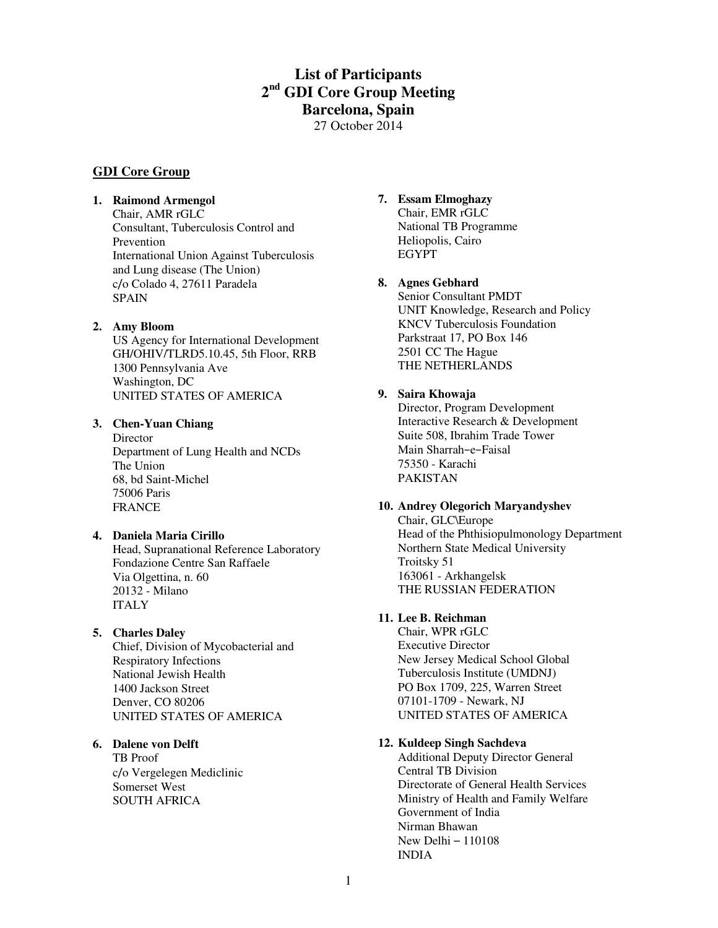# **List of Participants 2 nd GDI Core Group Meeting Barcelona, Spain**  27 October 2014

# **GDI Core Group**

#### **1. Raimond Armengol**

Chair, AMR rGLC Consultant, Tuberculosis Control and Prevention International Union Against Tuberculosis and Lung disease (The Union) c/o Colado 4, 27611 Paradela SPAIN

#### **2. Amy Bloom**

US Agency for International Development GH/OHIV/TLRD5.10.45, 5th Floor, RRB 1300 Pennsylvania Ave Washington, DC UNITED STATES OF AMERICA

#### **3. Chen-Yuan Chiang**

**Director** Department of Lung Health and NCDs The Union 68, bd Saint-Michel 75006 Paris FRANCE

#### **4. Daniela Maria Cirillo**

Head, Supranational Reference Laboratory Fondazione Centre San Raffaele Via Olgettina, n. 60 20132 - Milano ITALY

#### **5. Charles Daley**

Chief, Division of Mycobacterial and Respiratory Infections National Jewish Health 1400 Jackson Street Denver, CO 80206 UNITED STATES OF AMERICA

#### **6. Dalene von Delft**

TB Proof c/o Vergelegen Mediclinic Somerset West SOUTH AFRICA

# **7. Essam Elmoghazy**

Chair, EMR rGLC National TB Programme Heliopolis, Cairo EGYPT

#### **8. Agnes Gebhard**

Senior Consultant PMDT UNIT Knowledge, Research and Policy KNCV Tuberculosis Foundation Parkstraat 17, PO Box 146 2501 CC The Hague THE NETHERLANDS

#### **9. Saira Khowaja**

Director, Program Development Interactive Research & Development Suite 508, Ibrahim Trade Tower Main Sharrah−e−Faisal 75350 - Karachi PAKISTAN

#### **10. Andrey Olegorich Maryandyshev**

Chair, GLC\Europe Head of the Phthisiopulmonology Department Northern State Medical University Troitsky 51 163061 - Arkhangelsk THE RUSSIAN FEDERATION

# **11. Lee B. Reichman**

Chair, WPR rGLC Executive Director New Jersey Medical School Global Tuberculosis Institute (UMDNJ) PO Box 1709, 225, Warren Street 07101-1709 - Newark, NJ UNITED STATES OF AMERICA

## **12. Kuldeep Singh Sachdeva**

Additional Deputy Director General Central TB Division Directorate of General Health Services Ministry of Health and Family Welfare Government of India Nirman Bhawan New Delhi – 110108 INDIA